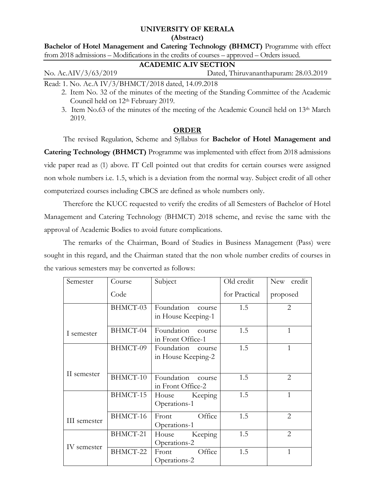# **UNIVERSITY OF KERALA**

**(Abstract)**

**Bachelor of Hotel Management and Catering Technology (BHMCT)** Programme with effect from 2018 admissions – Modifications in the credits of courses – approved – Orders issued.

## **ACADEMIC A.IV SECTION**

No. Ac.AIV/3/63/2019 Dated, Thiruvananthapuram: 28.03.2019

Read: 1. No. Ac.A IV/3/BHMCT/2018 dated, 14.09.2018

- 2. Item No. 32 of the minutes of the meeting of the Standing Committee of the Academic Council held on 12th February 2019.
- 3. Item No.63 of the minutes of the meeting of the Academic Council held on  $13<sup>th</sup>$  March 2019.

### **ORDER**

The revised Regulation, Scheme and Syllabus for **Bachelor of Hotel Management and Catering Technology (BHMCT)** Programme was implemented with effect from 2018 admissions vide paper read as (1) above. IT Cell pointed out that credits for certain courses were assigned non whole numbers i.e. 1.5, which is a deviation from the normal way. Subject credit of all other computerized courses including CBCS are defined as whole numbers only.

Therefore the KUCC requested to verify the credits of all Semesters of Bachelor of Hotel Management and Catering Technology (BHMCT) 2018 scheme, and revise the same with the approval of Academic Bodies to avoid future complications.

The remarks of the Chairman, Board of Studies in Business Management (Pass) were sought in this regard, and the Chairman stated that the non whole number credits of courses in the various semesters may be converted as follows:

| Semester     | Course   | Subject                                    | Old credit    | New credit     |
|--------------|----------|--------------------------------------------|---------------|----------------|
|              | Code     |                                            | for Practical | proposed       |
|              | BHMCT-03 | Foundation<br>course<br>in House Keeping-1 | 1.5           | 2              |
| I semester   | BHMCT-04 | Foundation course<br>in Front Office-1     | 1.5           | 1              |
|              | BHMCT-09 | Foundation course<br>in House Keeping-2    | 1.5           | $\mathbf{1}$   |
| II semester  | BHMCT-10 | Foundation course<br>in Front Office-2     | 1.5           | 2              |
|              | BHMCT-15 | Keeping<br>House<br>Operations-1           | 1.5           | $\mathbf{1}$   |
| III semester | BHMCT-16 | Office<br>Front<br>Operations-1            | 1.5           | $\overline{2}$ |
| IV semester  | BHMCT-21 | Keeping<br>House<br>Operations-2           | 1.5           | 2              |
|              | BHMCT-22 | Office<br>Front<br>Operations-2            | 1.5           | $\mathbf{1}$   |